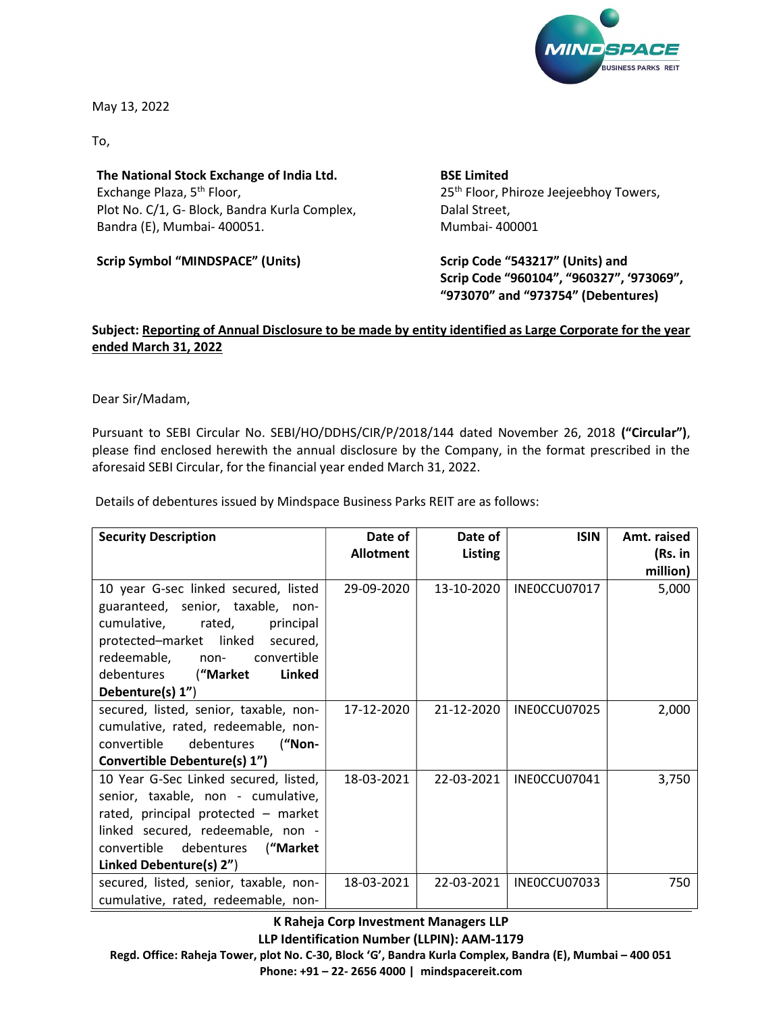

May 13, 2022

To,

The National Stock Exchange of India Ltd. Exchange Plaza, 5<sup>th</sup> Floor, Plot No. C/1, G- Block, Bandra Kurla Complex, Bandra (E), Mumbai- 400051.

Scrip Symbol "MINDSPACE" (Units)

BSE Limited 25<sup>th</sup> Floor, Phiroze Jeejeebhoy Towers, Dalal Street, Mumbai- 400001

Scrip Code "543217" (Units) and Scrip Code "960104", "960327", '973069", "973070" and "973754" (Debentures)

## Subject: Reporting of Annual Disclosure to be made by entity identified as Large Corporate for the year ended March 31, 2022

Dear Sir/Madam,

Pursuant to SEBI Circular No. SEBI/HO/DDHS/CIR/P/2018/144 dated November 26, 2018 ("Circular"), please find enclosed herewith the annual disclosure by the Company, in the format prescribed in the aforesaid SEBI Circular, for the financial year ended March 31, 2022.

Details of debentures issued by Mindspace Business Parks REIT are as follows:

| <b>Security Description</b>                                                                                                                                                                                                                  | Date of          | Date of        | <b>ISIN</b>  | Amt. raised         |
|----------------------------------------------------------------------------------------------------------------------------------------------------------------------------------------------------------------------------------------------|------------------|----------------|--------------|---------------------|
|                                                                                                                                                                                                                                              | <b>Allotment</b> | <b>Listing</b> |              | (Rs. in<br>million) |
| 10 year G-sec linked secured, listed<br>guaranteed, senior, taxable, non-<br>cumulative, rated,<br>principal<br>protected-market linked secured,<br>redeemable, non- convertible<br>debentures ("Market<br><b>Linked</b><br>Debenture(s) 1") | 29-09-2020       | 13-10-2020     | INEOCCU07017 | 5,000               |
| secured, listed, senior, taxable, non-<br>cumulative, rated, redeemable, non-<br>convertible<br>debentures<br>("Non-<br>Convertible Debenture(s) 1")                                                                                         | 17-12-2020       | 21-12-2020     | INEOCCU07025 | 2,000               |
| 10 Year G-Sec Linked secured, listed,<br>senior, taxable, non - cumulative,<br>rated, principal protected - market<br>linked secured, redeemable, non -<br>convertible debentures ("Market"<br>Linked Debenture(s) 2")                       | 18-03-2021       | 22-03-2021     | INEOCCU07041 | 3,750               |
| secured, listed, senior, taxable, non-<br>cumulative, rated, redeemable, non-                                                                                                                                                                | 18-03-2021       | 22-03-2021     | INEOCCU07033 | 750                 |

K Raheja Corp Investment Managers LLP LLP Identification Number (LLPIN): AAM-1179 Regd. Office: Raheja Tower, plot No. C-30, Block 'G', Bandra Kurla Complex, Bandra (E), Mumbai – 400 051 Phone: +91 – 22- 2656 4000 | mindspacereit.com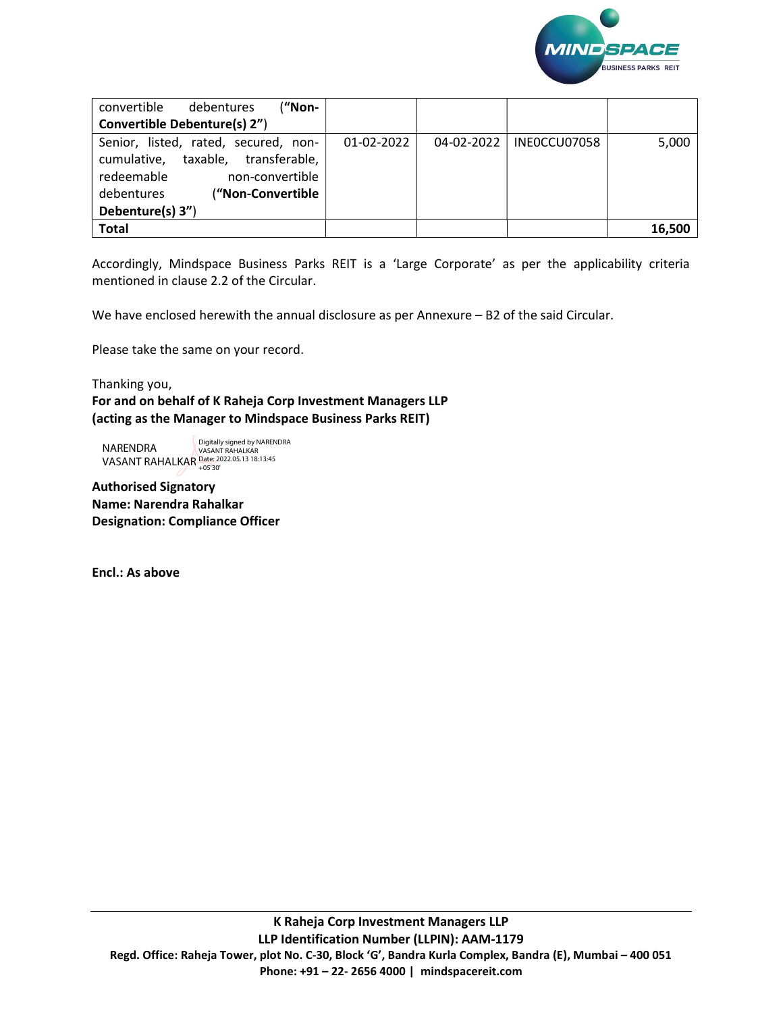

| ("Non-<br>convertible<br>debentures   |            |            |              |        |
|---------------------------------------|------------|------------|--------------|--------|
| Convertible Debenture(s) 2")          |            |            |              |        |
| Senior, listed, rated, secured, non-  | 01-02-2022 | 04-02-2022 | INEOCCU07058 | 5,000  |
| taxable, transferable,<br>cumulative, |            |            |              |        |
| redeemable<br>non-convertible         |            |            |              |        |
| ("Non-Convertible<br>debentures       |            |            |              |        |
| Debenture(s) 3")                      |            |            |              |        |
| <b>Total</b>                          |            |            |              | 16,500 |

Accordingly, Mindspace Business Parks REIT is a 'Large Corporate' as per the applicability criteria mentioned in clause 2.2 of the Circular.

We have enclosed herewith the annual disclosure as per Annexure – B2 of the said Circular.

Please take the same on your record.

Thanking you,

For and on behalf of K Raheja Corp Investment Managers LLP (acting as the Manager to Mindspace Business Parks REIT)

NARENDRA

VASANT RAHALKAR Date: 2022.05.13 18:13:45 +05'30'Digitally signed by NARENDRA VASANT RAHALKAR

Authorised Signatory Name: Narendra Rahalkar Designation: Compliance Officer

Encl.: As above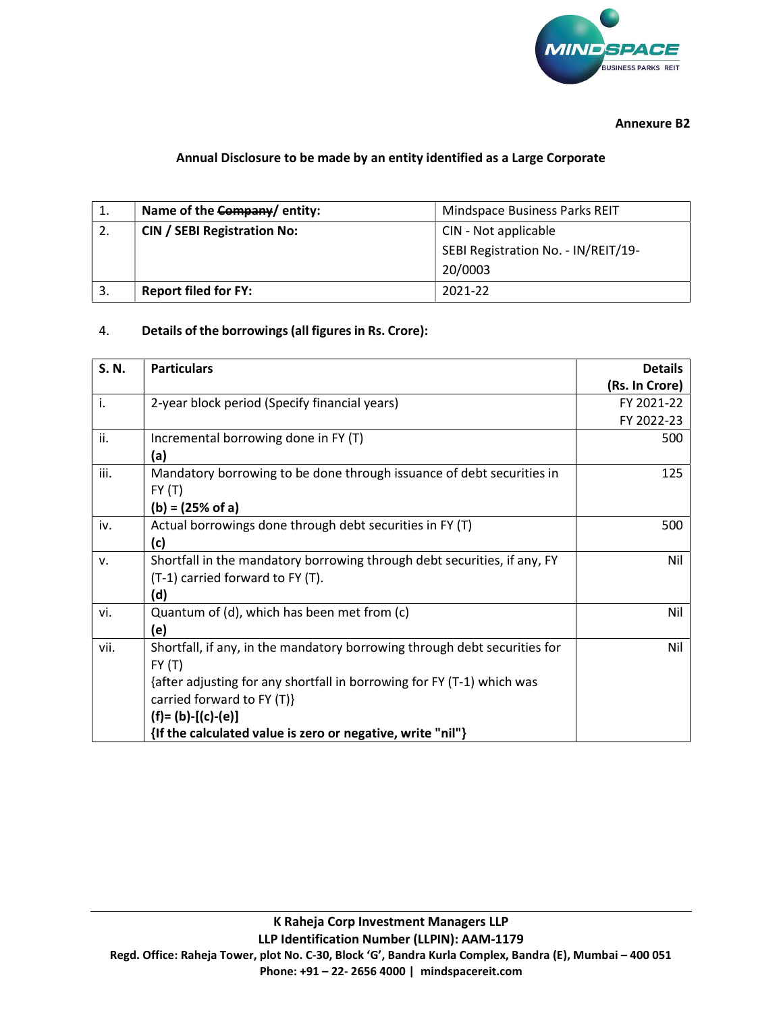

Annexure B2

## Annual Disclosure to be made by an entity identified as a Large Corporate

| ᅩ | Name of the Company/ entity:       | Mindspace Business Parks REIT       |  |
|---|------------------------------------|-------------------------------------|--|
|   | <b>CIN / SEBI Registration No:</b> | CIN - Not applicable                |  |
|   |                                    | SEBI Registration No. - IN/REIT/19- |  |
|   |                                    | 20/0003                             |  |
|   | <b>Report filed for FY:</b>        | 2021-22                             |  |

## 4. Details of the borrowings (all figures in Rs. Crore):

| S.N. | <b>Particulars</b>                                                        | <b>Details</b> |
|------|---------------------------------------------------------------------------|----------------|
|      |                                                                           | (Rs. In Crore) |
| i.   | 2-year block period (Specify financial years)                             | FY 2021-22     |
|      |                                                                           | FY 2022-23     |
| ii.  | Incremental borrowing done in FY (T)                                      | 500            |
|      | (a)                                                                       |                |
| iii. | Mandatory borrowing to be done through issuance of debt securities in     | 125            |
|      | FY(T)                                                                     |                |
|      | $(b) = (25\% \text{ of a})$                                               |                |
| iv.  | Actual borrowings done through debt securities in FY (T)                  | 500            |
|      | (c)                                                                       |                |
| v.   | Shortfall in the mandatory borrowing through debt securities, if any, FY  | Nil            |
|      | (T-1) carried forward to FY (T).                                          |                |
|      | (d)                                                                       |                |
| vi.  | Quantum of (d), which has been met from (c)                               | Nil            |
|      | (e)                                                                       |                |
| vii. | Shortfall, if any, in the mandatory borrowing through debt securities for | Nil            |
|      | FY(T)                                                                     |                |
|      | {after adjusting for any shortfall in borrowing for FY (T-1) which was    |                |
|      | carried forward to FY $(T)$ }                                             |                |
|      | $(f)=(b)-[(c)-(e)]$                                                       |                |
|      | {If the calculated value is zero or negative, write "nil"}                |                |